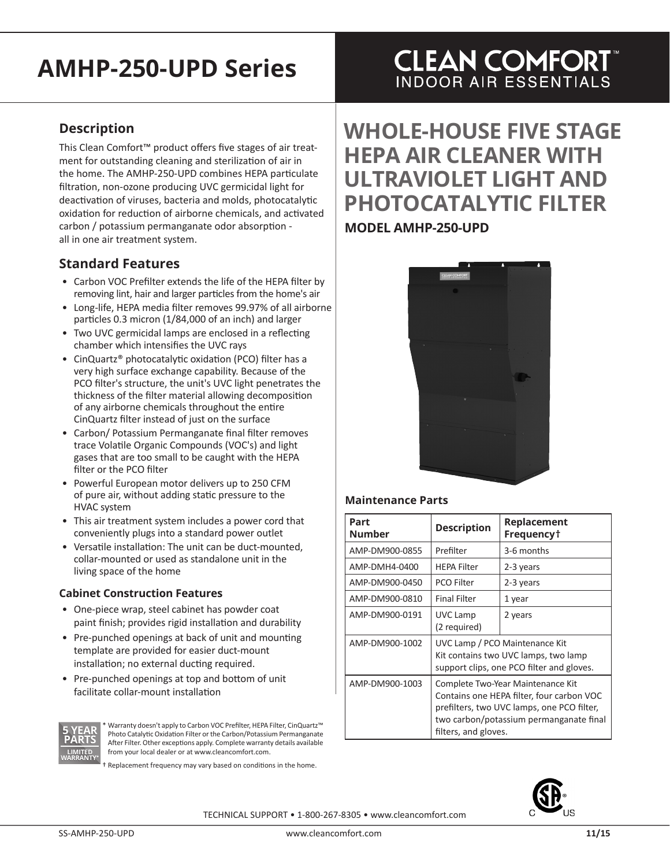# **AMHP-250-UPD Series**

## **Description**

This Clean Comfort™ product offers five stages of air treatment for outstanding cleaning and sterilization of air in the home. The AMHP-250-UPD combines HEPA particulate filtration, non-ozone producing UVC germicidal light for deactivation of viruses, bacteria and molds, photocatalytic oxidation for reduction of airborne chemicals, and activated carbon / potassium permanganate odor absorption all in one air treatment system.

## **Standard Features**

- Carbon VOC Prefilter extends the life of the HEPA filter by removing lint, hair and larger particles from the home's air
- Long-life, HEPA media filter removes 99.97% of all airborne particles 0.3 micron (1/84,000 of an inch) and larger
- Two UVC germicidal lamps are enclosed in a reflecting chamber which intensifies the UVC rays
- CinQuartz® photocatalytic oxidation (PCO) filter has a very high surface exchange capability. Because of the PCO filter's structure, the unit's UVC light penetrates the thickness of the filter material allowing decomposition of any airborne chemicals throughout the entire CinQuartz filter instead of just on the surface
- Carbon/ Potassium Permanganate final filter removes trace Volatile Organic Compounds (VOC's) and light gases that are too small to be caught with the HEPA filter or the PCO filter
- Powerful European motor delivers up to 250 CFM of pure air, without adding static pressure to the HVAC system
- This air treatment system includes a power cord that conveniently plugs into a standard power outlet
- Versatile installation: The unit can be duct-mounted, collar-mounted or used as standalone unit in the living space of the home

#### **Cabinet Construction Features**

- One-piece wrap, steel cabinet has powder coat paint finish; provides rigid installation and durability
- Pre-punched openings at back of unit and mounting template are provided for easier duct-mount installation; no external ducting required.
- Pre-punched openings at top and bottom of unit facilitate collar-mount installation



Warranty doesn't apply to Carbon VOC Prefilter, HEPA Filter, CinQuartz™ Photo Catalytic Oxidation Filter or the Carbon/Potassium Permanganate After Filter. Other exceptions apply. Complete warranty details available from your local dealer or at www.cleancomfort.com.

† Replacement frequency may vary based on conditions in the home.

## **CLEAN COMFORT INDOOR AIR ESSENTIALS**

# **WHOLE-HOUSE FIVE STAGE HEPA AIR CLEANER WITH ULTRAVIOLET LIGHT AND PHOTOCATALYTIC FILTER**

## **MODEL AMHP-250-UPD**



#### **Maintenance Parts**

| Part<br><b>Number</b> | <b>Description</b>                                                                                                                                                                              | Replacement<br>Frequency <sup>+</sup> |
|-----------------------|-------------------------------------------------------------------------------------------------------------------------------------------------------------------------------------------------|---------------------------------------|
| AMP-DM900-0855        | Prefilter                                                                                                                                                                                       | 3-6 months                            |
| AMP-DMH4-0400         | <b>HEPA Filter</b>                                                                                                                                                                              | 2-3 years                             |
| AMP-DM900-0450        | PCO Filter                                                                                                                                                                                      | 2-3 years                             |
| AMP-DM900-0810        | <b>Final Filter</b>                                                                                                                                                                             | 1 year                                |
| AMP-DM900-0191        | UVC Lamp<br>(2 required)                                                                                                                                                                        | 2 years                               |
| AMP-DM900-1002        | UVC Lamp / PCO Maintenance Kit<br>Kit contains two UVC lamps, two lamp<br>support clips, one PCO filter and gloves.                                                                             |                                       |
| AMP-DM900-1003        | Complete Two-Year Maintenance Kit<br>Contains one HEPA filter, four carbon VOC<br>prefilters, two UVC lamps, one PCO filter,<br>two carbon/potassium permanganate final<br>filters, and gloves. |                                       |



TECHNICAL SUPPORT • 1-800-267-8305 • www.cleancomfort.com